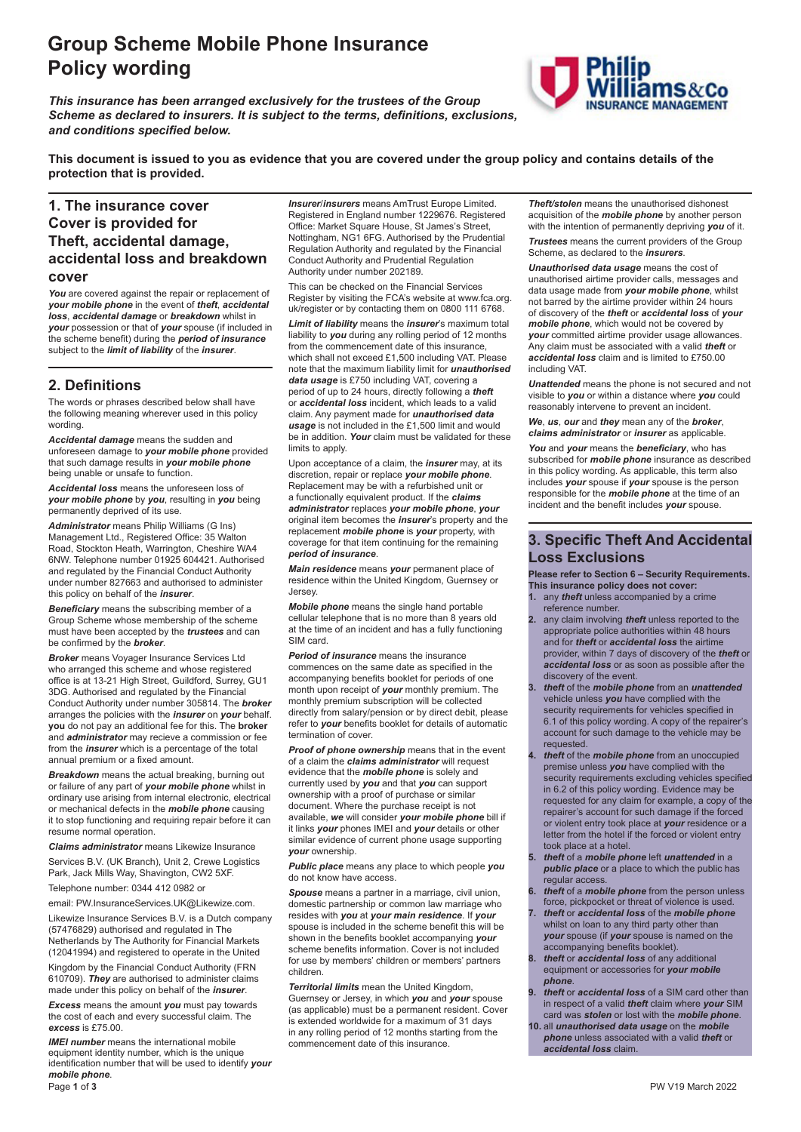# **Group Scheme Mobile Phone Insurance Policy wording**

*This insurance has been arranged exclusively for the trustees of the Group Scheme as declared to insurers. It is subject to the terms, definitions, exclusions, and conditions specified below.*



**This document is issued to you as evidence that you are covered under the group policy and contains details of the protection that is provided.**

# **1. The insurance cover Cover is provided for Theft, accidental damage, accidental loss and breakdown**

#### **cover**

You are covered against the repair or replacement of *your mobile phone* in the event of *theft*, *accidental loss*, *accidental damage* or *breakdown* whilst in *your* possession or that of *your* spouse (if included in the scheme benefit) during the *period of insurance* subject to the *limit of liability* of the *insurer*.

### **2. Definitions**

The words or phrases described below shall have the following meaning wherever used in this policy wording.

*Accidental damage* means the sudden and unforeseen damage to *your mobile phone* provided that such damage results in *your mobile phone* being unable or unsafe to function.

*Accidental loss* means the unforeseen loss of *your mobile phone* by *you*, resulting in *you* being permanently deprived of its use.

*Administrator* means Philip Williams (G Ins) Management Ltd., Registered Office: 35 Walton Road, Stockton Heath, Warrington, Cheshire WA4 6NW. Telephone number 01925 604421. Authorised and regulated by the Financial Conduct Authority under number 827663 and authorised to administer this policy on behalf of the *insurer*.

*Beneficiary* means the subscribing member of a Group Scheme whose membership of the scheme must have been accepted by the *trustees* and can be confirmed by the *broker*.

*Broker* means Voyager Insurance Services Ltd who arranged this scheme and whose registered office is at 13-21 High Street, Guildford, Surrey, GU1 3DG. Authorised and regulated by the Financial Conduct Authority under number 305814. The *broker* arranges the policies with the *insurer* on *your* behalf. **you** do not pay an additional fee for this. The **broker** and *administrator* may recieve a commission or fee from the *insurer* which is a percentage of the total annual premium or a fixed amount.

*Breakdown* means the actual breaking, burning out or failure of any part of *your mobile phone* whilst in ordinary use arising from internal electronic, electrical or mechanical defects in the *mobile phone* causing it to stop functioning and requiring repair before it can resume normal operation.

*Claims administrator* means Likewize Insurance

Services B.V. (UK Branch), Unit 2, Crewe Logistics Park, Jack Mills Way, Shavington, CW2 5XF.

Telephone number: 0344 412 0982 or

email: PW.InsuranceServices.UK@Likewize.com.

Likewize Insurance Services B.V. is a Dutch company (57476829) authorised and regulated in The Netherlands by The Authority for Financial Markets (12041994) and registered to operate in the United

Kingdom by the Financial Conduct Authority (FRN 610709). *They* are authorised to administer claims made under this policy on behalf of the *insurer*.

*Excess* means the amount *you* must pay towards the cost of each and every successful claim. The *excess* is £75.00.

*IMEI number* means the international mobile equipment identity number, which is the unique identification number that will be used to identify *your mobile phone*.

*Insurer*/*insurers* means AmTrust Europe Limited. Registered in England number 1229676. Registered Office: Market Square House, St James's Street, Nottingham, NG1 6FG. Authorised by the Prudential Regulation Authority and regulated by the Financial Conduct Authority and Prudential Regulation Authority under number 202189.

This can be checked on the Financial Services Register by visiting the FCA's website at www.fca.org. uk/register or by contacting them on 0800 111 6768.

*Limit of liability* means the *insurer*'s maximum total liability to *you* during any rolling period of 12 months from the commencement date of this insurance, which shall not exceed £1,500 including VAT. Please note that the maximum liability limit for *unauthorised data usage* is £750 including VAT, covering a period of up to 24 hours, directly following a *theft* or *accidental loss* incident, which leads to a valid claim. Any payment made for *unauthorised data usage* is not included in the £1,500 limit and would be in addition. *Your* claim must be validated for these limits to apply.

Upon acceptance of a claim, the *insurer* may, at its discretion, repair or replace *your mobile phone*. Replacement may be with a refurbished unit or a functionally equivalent product. If the *claims administrator* replaces *your mobile phone*, *your* original item becomes the *insurer*'s property and the replacement *mobile phone* is *your* property, with coverage for that item continuing for the remaining *period of insurance*.

*Main residence* means *your* permanent place of residence within the United Kingdom, Guernsey or **Jersey** 

*Mobile phone* means the single hand portable cellular telephone that is no more than 8 years old at the time of an incident and has a fully functioning SIM card.

*Period of insurance* means the insurance commences on the same date as specified in the accompanying benefits booklet for periods of one month upon receipt of *your* monthly premium. The monthly premium subscription will be collected directly from salary/pension or by direct debit, please refer to *your* benefits booklet for details of automatic termination of cover.

*Proof of phone ownership* means that in the event of a claim the *claims administrator* will request evidence that the *mobile phone* is solely and currently used by *you* and that *you* can support ownership with a proof of purchase or similar document. Where the purchase receipt is not available, *we* will consider *your mobile phone* bill if it links *your* phones IMEI and *your* details or other similar evidence of current phone usage supporting *your* ownership.

*Public place* means any place to which people *you* do not know have access.

*Spouse* means a partner in a marriage, civil union, domestic partnership or common law marriage who resides with *you* at *your main residence*. If *your* spouse is included in the scheme benefit this will be shown in the benefits booklet accompanying *your* scheme benefits information. Cover is not included for use by members' children or members' partners children.

*Territorial limits* mean the United Kingdom, Guernsey or Jersey, in which *you* and *your* spouse (as applicable) must be a permanent resident. Cover is extended worldwide for a maximum of 31 days in any rolling period of 12 months starting from the commencement date of this insurance.

*Theft/stolen* means the unauthorised dishonest acquisition of the *mobile phone* by another person with the intention of permanently depriving *you* of it.

*Trustees* means the current providers of the Group Scheme, as declared to the *insurers*.

*Unauthorised data usage* means the cost of unauthorised airtime provider calls, messages and data usage made from *your mobile phone*, whilst not barred by the airtime provider within 24 hours of discovery of the *theft* or *accidental loss* of *your mobile phone*, which would not be covered by *your* committed airtime provider usage allowances. Any claim must be associated with a valid *theft* or *accidental loss* claim and is limited to £750.00 including VAT.

*Unattended* means the phone is not secured and not visible to *you* or within a distance where *you* could reasonably intervene to prevent an incident

*We*, *us*, *our* and *they* mean any of the *broker*, *claims administrator* or *insurer* as applicable.

*You* and *your* means the *beneficiary*, who has subscribed for *mobile phone* insurance as described in this policy wording. As applicable, this term also includes *your* spouse if *your* spouse is the person responsible for the *mobile phone* at the time of an incident and the benefit includes *your* spouse.

### **3. Specific Theft And Accidental Loss Exclusions**

**Please refer to Section 6 – Security Requirements.**

- **This insurance policy does not cover:** any *theft* unless accompanied by a crime reference number.
- **2.** any claim involving *theft* unless reported to the appropriate police authorities within 48 hours and for *theft* or *accidental loss* the airtime provider, within 7 days of discovery of the *theft* or *accidental loss* or as soon as possible after the discovery of the event.
- **3.** *theft* of the *mobile phone* from an *unattended* vehicle unless *you* have complied with the security requirements for vehicles specified in 6.1 of this policy wording. A copy of the repairer's account for such damage to the vehicle may be requested.
- **4.** *theft* of the *mobile phone* from an unoccupied premise unless *you* have complied with the security requirements excluding vehicles specified in 6.2 of this policy wording. Evidence may be requested for any claim for example, a copy of the repairer's account for such damage if the forced or violent entry took place at *your* residence or a letter from the hotel if the forced or violent entry took place at a hotel.
- **5.** *theft* of a *mobile phone* left *unattended* in a *public place* or a place to which the public has regular access.
- **6.** *theft* of a *mobile phone* from the person unless force, pickpocket or threat of violence is used.
- **7.** *theft* or *accidental loss* of the *mobile phone* whilst on loan to any third party other than *your* spouse (if *your* spouse is named on the accompanying benefits booklet).
- **8.** *theft* or *accidental loss* of any additional equipment or accessories for *your mobile phone*.
- **9.** *theft* or *accidental loss* of a SIM card other than in respect of a valid *theft* claim where *your* SIM card was *stolen* or lost with the *mobile phone*.
- **10.** all *unauthorised data usage* on the *mobile phone* unless associated with a valid *theft* or *accidental loss* claim.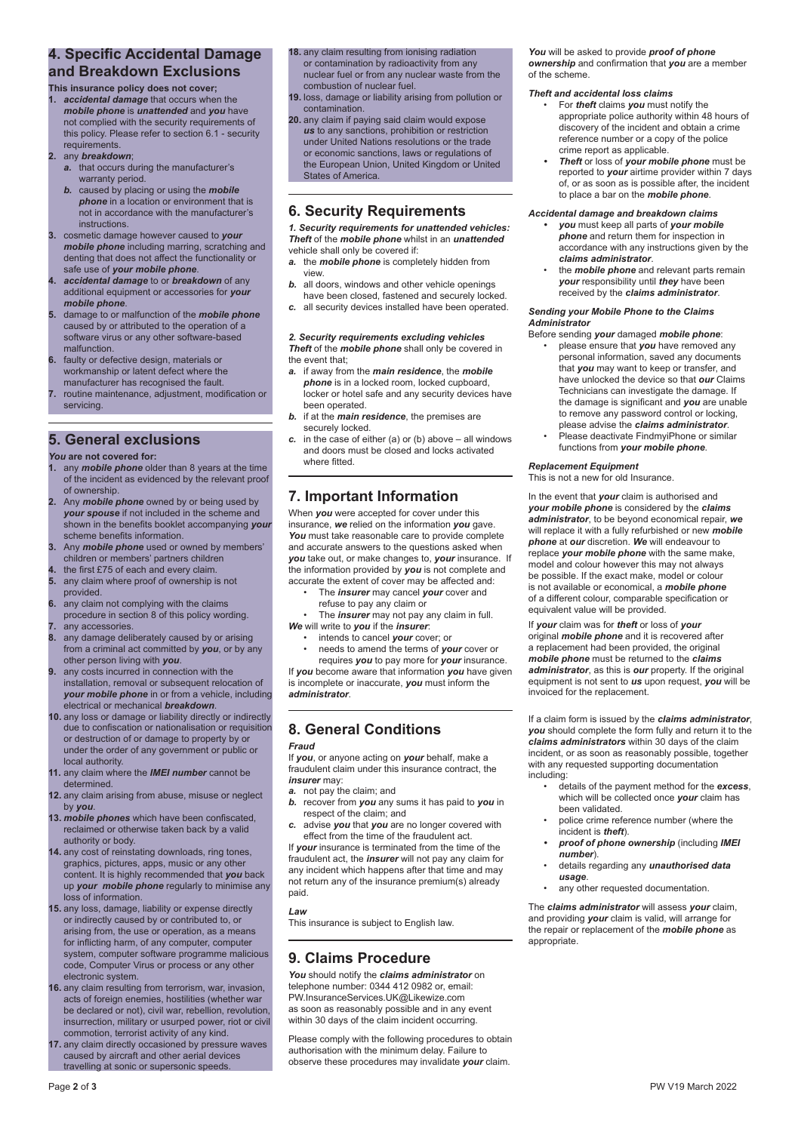## **4. Specific Accidental Damage and Breakdown Exclusions**

- **This insurance policy does not cover; 1.** *accidental damage* that occurs when the *mobile phone* is *unattended* and *you* have
- not complied with the security requirements of this policy. Please refer to section 6.1 - security requirements.
- **2.** any *breakdown*;
	- *a.* that occurs during the manufacturer's warranty period.
	- *b.* caused by placing or using the *mobile phone* in a location or environment that is not in accordance with the manufacturer's instructions.
- **3.** cosmetic damage however caused to *your mobile phone* including marring, scratching and denting that does not affect the functionality or safe use of *your mobile phone*.
- **4.** *accidental damage* to or *breakdown* of any additional equipment or accessories for *your mobile phone*.
- **5.** damage to or malfunction of the *mobile phone* caused by or attributed to the operation of a software virus or any other software-based malfunction.
- **6.** faulty or defective design, materials or workmanship or latent defect where the manufacturer has recognised the fault.
- **7.** routine maintenance, adjustment, modification or servicing.

### **5. General exclusions**

### *You* **are not covered for:**

- any **mobile phone** older than 8 years at the time of the incident as evidenced by the relevant proof of ownership.
- **2.** Any *mobile phone* owned by or being used by *your spouse* if not included in the scheme and shown in the benefits booklet accompanying *your* scheme benefits information.
- **3.** Any *mobile phone* used or owned by members' children or members' partners children
- **4.** the first £75 of each and every claim.<br>**5.** any claim where proof of ownership is
- **5.** any claim where proof of ownership is not provided.
- **6.** any claim not complying with the claims procedure in section 8 of this policy wording.
- **7.** any accessories.<br>**8.** any damage deli
- **8.** any damage deliberately caused by or arising from a criminal act committed by *you*, or by any other person living with *you*.
- **9.** any costs incurred in connection with the installation, removal or subsequent relocation of *your mobile phone* in or from a vehicle, including electrical or mechanical *breakdown*.
- **10.** any loss or damage or liability directly or indirectly due to confiscation or nationalisation or requisition or destruction of or damage to property by or under the order of any government or public or local authority.
- **11.** any claim where the *IMEI number* cannot be determined.
- **12.** any claim arising from abuse, misuse or neglect by *you*.
- **13.** *mobile phones* which have been confiscated, reclaimed or otherwise taken back by a valid authority or body.
- **14.** any cost of reinstating downloads, ring tones, graphics, pictures, apps, music or any other content. It is highly recommended that *you* back up *your mobile phone* regularly to minimise any loss of information.
- **15.** any loss, damage, liability or expense directly or indirectly caused by or contributed to, or arising from, the use or operation, as a means for inflicting harm, of any computer, computer system, computer software programme malicious code, Computer Virus or process or any other electronic system.
- **16.** any claim resulting from terrorism, war, invasion, acts of foreign enemies, hostilities (whether war be declared or not), civil war, rebellion, revolution, insurrection, military or usurped power, riot or civil commotion, terrorist activity of any kind.
- **17.** any claim directly occasioned by pressure waves caused by aircraft and other aerial devices travelling at sonic or supersonic speeds.

### **18.** any claim resulting from ionising radiation

- or contamination by radioactivity from any nuclear fuel or from any nuclear waste from the combustion of nuclear fuel.
- **19.** loss, damage or liability arising from pollution or contamination.
- **20.** any claim if paying said claim would expose *us* to any sanctions, prohibition or restriction under United Nations resolutions or the trade or economic sanctions, laws or regulations of the European Union, United Kingdom or United States of America.

### **6. Security Requirements**

#### *1. Security requirements for unattended vehicles: Theft* of the *mobile phone* whilst in an *unattended* vehicle shall only be covered if:

- *a.* the *mobile phone* is completely hidden from view.
- *b.* all doors, windows and other vehicle openings have been closed, fastened and securely locked.
- *c.* all security devices installed have been operated.

#### *2. Security requirements excluding vehicles Theft* of the *mobile phone* shall only be covered in the event that:

- *a.* if away from the *main residence*, the *mobile phone* is in a locked room, locked cupboard, locker or hotel safe and any security devices have been operated.
- *b.* if at the *main residence*, the premises are securely locked.
- *c.* in the case of either (a) or (b) above all windows and doors must be closed and locks activated where fitted

# **7. Important Information**

When *you* were accepted for cover under this insurance, *we* relied on the information *you* gave. *You* must take reasonable care to provide complete and accurate answers to the questions asked when *you* take out, or make changes to, *your* insurance. If the information provided by *you* is not complete and accurate the extent of cover may be affected and:

- The *insurer* may cancel *your* cover and refuse to pay any claim or
- 
- The *insurer* may not pay any claim in full. *We* will write to *you* if the *insurer*:
	- intends to cancel *your* cover; or
	- needs to amend the terms of *your* cover or requires *you* to pay more for *your* insurance.

If *you* become aware that information *you* have given is incomplete or inaccurate, *you* must inform the *administrator*.

# **8. General Conditions**

### *Fraud*

If *you*, or anyone acting on *your* behalf, make a fraudulent claim under this insurance contract, the *insurer* may:

- *a.* not pay the claim; and
- *b.* recover from *you* any sums it has paid to *you* in respect of the claim; and
- *c.* advise *you* that *you* are no longer covered with effect from the time of the fraudulent act.

If *your* insurance is terminated from the time of the fraudulent act, the *insurer* will not pay any claim for any incident which happens after that time and may not return any of the insurance premium(s) already paid.

*Law*

This insurance is subject to English law.

## **9. Claims Procedure**

*You* should notify the *claims administrator* on telephone number: 0344 412 0982 or, email: PW.InsuranceServices.UK@Likewize.com as soon as reasonably possible and in any event within 30 days of the claim incident occurring.

Please comply with the following procedures to obtain authorisation with the minimum delay. Failure to observe these procedures may invalidate *your* claim.

*You* will be asked to provide *proof of phone ownership* and confirmation that *you* are a member of the scheme.

#### *Theft and accidental loss claims*

- For *theft* claims *you* must notify the appropriate police authority within 48 hours of discovery of the incident and obtain a crime reference number or a copy of the police crime report as applicable.
- *• Theft* or loss of *your mobile phone* must be reported to *your* airtime provider within 7 days of, or as soon as is possible after, the incident to place a bar on the *mobile phone*.

#### *Accidental damage and breakdown claims*

- *• you* must keep all parts of *your mobile phone* and return them for inspection in accordance with any instructions given by the *claims administrator*.
- the *mobile phone* and relevant parts remain *your* responsibility until *they* have been received by the *claims administrator*.

#### *Sending your Mobile Phone to the Claims Administrator*

- Before sending *your* damaged *mobile phone*: • please ensure that *you* have removed any personal information, saved any documents that *you* may want to keep or transfer, and have unlocked the device so that *our* Claims Technicians can investigate the damage. If the damage is significant and *you* are unable to remove any password control or locking, please advise the *claims administrator*.
	- Prease deactivate FindmyiPhone or similar functions from *your mobile phone*.

### *Replacement Equipment*

This is not a new for old Insurance.

In the event that *your* claim is authorised and *your mobile phone* is considered by the *claims administrator*, to be beyond economical repair, *we* will replace it with a fully refurbished or new *mobile phone* at *our* discretion. *We* will endeavour to replace *your mobile phone* with the same make, model and colour however this may not always be possible. If the exact make, model or colour is not available or economical, a *mobile phone* of a different colour, comparable specification or equivalent value will be provided.

If *your* claim was for *theft* or loss of *your* original *mobile phone* and it is recovered after a replacement had been provided, the original *mobile phone* must be returned to the *claims administrator*, as this is *our* property. If the original equipment is not sent to *us* upon request, *you* will be invoiced for the replacement.

If a claim form is issued by the *claims administrator*, *you* should complete the form fully and return it to the *claims administrators* within 30 days of the claim incident, or as soon as reasonably possible, together with any requested supporting documentation including:

- details of the payment method for the *excess*, which will be collected once *your* claim has been validated.
- police crime reference number (where the incident is *theft*).
- *• proof of phone ownership* (including *IMEI number*).
- details regarding any *unauthorised data usage*.
- any other requested documentation.

The *claims administrator* will assess *your* claim, and providing *your* claim is valid, will arrange for the repair or replacement of the *mobile phone* as appropriate.